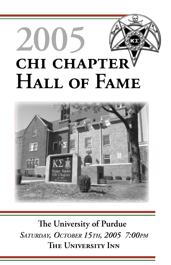# **2005 CHI CHAPTER HALL OF FAME**



**The University of Purdue** *SATURDAY, OCTOBER 15TH, 2005 7:00PM* **THE UNIVERSITY INN**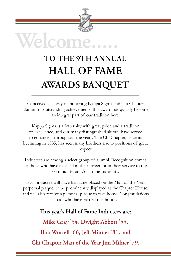

# **TO THE 9TH ANNUAL HALL OF FAME AWARDS BANQUET**

Conceived as a way of honoring Kappa Sigma and Chi Chapter alumni for outstanding achievements, this award has quickly become an integral part of our tradition here.

Kappa Sigma is a fraternity with great pride and a tradition of excellence, and our many distinguished alumni have served to enhance it throughout the years. The Chi Chapter, since its beginning in 1885, has seen many brothers rise to positions of great respect.

Inductees are among a select group of alumni. Recognition comes to those who have excelled in their career, or in their service to the community, and/or to the fraternity.

Each inductee will have his name placed on the Man of the Year perpetual plaque, to be prominently displayed at the Chapter House, and will also receive a personal plaque to take home. Congratulations to all who have earned this honor.

**Th is year's Hall of Fame Inductees are: Mike Gray '54, Dwight Abbott '55, Bob Worrell '66, Jeff Minner '81, and Chi Chapter Man of the Year Jim Milner '79.**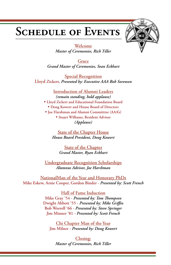## **SCHEDULE OF EVENTS**



**Welcome** *Master of Ceremonies, Rich Tiller*

**Grace** *Grand Master of Ceremonies, Sean Eckhart*

**Special Recognition Lloyd Zickert,** *Presented by: Executive AAA Bob Sorensen*

**Introduction of Alumni Leaders** *(remain standing, hold applause)* **• Lloyd Zickert and Educational Foundation Board • Doug Kowert and House Board of Directors • Joe Harshman and Alumni Committtee (AAA's) • Stuart Williams, Resident Advisor**  *(Applause)*

**State of the Chapter House** *House Board President, Doug Kowert*

> **State of the Chapter** *Grand Master, Ryan Eckhart*

**Undergraduate Recognition Scholarships** *Alumnus Advisor, Joe Harshman*

**NationalMan of the Year and Honorary PhDs Mike Eskew, Arnie Cooper, Gordon Binder -** *Presented by: Scott French*

> **Hall of Fame Induction Mike Gray '54 - Presented by: Tom Thompson Dwight Abbott '55** - Presented by: Mike Griffin **Bob Worrell '66** *- Presented by: Steve Springer* **Jim Minner '81** *- Presented by: Scott French*

**Chi Chapter Man of the Year Jim Milner** *- Presented by: Doug Kowert*

**Closing:** *Master of Ceremonies, Rich Tiller*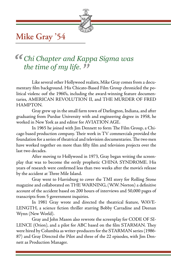

## **Mike Gray '54**

# $the\ time\ of\ my\ life.$  The time of my life. The several other Hollywood reads **the set of the S** *" Chi Chapter and Kappa Sigma was*

Like several other Hollywood realists, Mike Gray comes from a documentary film background. His Chicato-Based Film Group chronicled the political violenc oof the 1960's, including the award-winning feature documentaries, AMERICAN REVOLUTION II, and THE MURDER OF FRED HAMPTON.

 Gray grew up in the small farm town of Darlington, Indiana, and after graduating from Purdue University with and engineering degree in 1958, he worked in New York as and editor for AVIATION AGE.

In 1965 he joined with Jim Dennett to form The Film Group, a Chicago based production company. Their work in TV commercials provided the foundation for a series of theatrical and television documentaries. The two men have worked together on more than fifty film and television projects over the last two decades.

 After moving to Hollywood in 1973, Gray began writing the screenplay that was to become the eerily prophetic CHINA SYNDROME. His years of research were confirmed less than two weeks after the movie's release by the accident at Three Mile Island.

 Gray went to Harrisburg to cover the TMI story for Rolling Stone magazine and collaborated on THE WARNING, (W.W. Norton) a definitive account of the accident based on 200 hours of interviews and 50,000 pages of transcripts from 5 government inquiries.

 In 1981 Gray wrote and directed the theatrical feature, WAVE-LENGTH, a science fiction thriller starring Bobby Carradine and Deenan Wynn (New World).

 Gray and John Mason also rewrote the screenplay for CODE OF SI-LENCE (Orion), and a pilot for ABC based on the film STARMAN. They were hired by Columbia as writer-producers for the STARMAN series (1986- 87) and Gray Directed the Pilot and three of the 22 episodes, with Jim Dennett as Production Manager.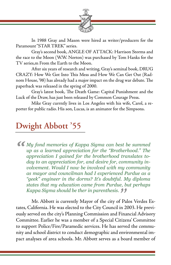

 In 1988 Gray and Mason were hired as writer/producers for the Paramount "STAR TREK" series.

 Gray's second book, ANGLE OF ATTACK: Harrison Storms and the race to the Moon (W.W. Norton) was purchased by Tom Hanks for the TV series,m From the Earth to the Moon.

 After six years of research and writing, Gray's seminal book, DRUG CRAZY: How We Got Into This Mess and How We Can Get Out (Radnom House, '98) has already had a major impact on the drug war debate. The paperback was released in the spring of 2000.

Gray's latest book, The Death Game: Capital Punishment and the Luck of the Draw, has just been released by Common Courage Press.

 Mike Gray currntly lives in Los Angeles with his wife, Carol, a reporter for public radio. His son, Lucas, is an animator for the Simpsons.

#### **Dwight Abbott '55**

*" My fond memories of Kappa Sigma can best be summed up as a learned appreciation for the "Brotherhood." The appreciation I gained for the brotherhood translates today to an appreciation for, and desire for, community involvement. Would I now be involved with my community as mayor and councilman had I experienced Purdue as a "geek" engineer in the dorms? It's doubtful. My diploma states that my education came from Purdue, but perhaps Kappa Sigma should be ther in parenthesis.*

 Mr. Abbott is currently Mayor of the city of Palos Verdes Estates, California. He was elected to the City Council in 2003. He previously served on the city's Planning Commission and Financial Advisory Committee. Earlier he was a member of a Special Citizens' Committee to support Police/Fire/Paramedic services. He has served the community and school district to conduct demographic and environmental impact analyses of area schools. Mr. Abbott serves as a board member of  $'Pa$ <br> $n 2$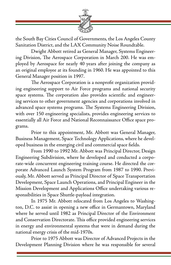

the South Bay Cities Council of Governments, the Los Angeles County Sanitation District, and the LAX Community Noise Roundtable.

 Dwight Abbott retired as General Manager, Systems Engineering Division, The Aerospace Corporation in March 200. He was employed by Aerospace for nearly 40 years after joining the company as an original employee at its founding in 1960. He was appointed to this General Manager position in 1997.

 The Aerospace Corporation is a nonprofit organization providing engineering support to Air Force programs and national security space systems. The corporation also provides scientific and engineering services to other government agencies and corporations involved in advanced space systems programs. The Systems Engineering Division, with over 150 engineering specialists, provides engineering services to essentially all Air Force and National Reconnaissance Office space programs.

 Prior to this appointment, Mr. Abbott was General Manager, Business Management, Space Technology Applications, where he developed business in the emerging civil and commercial space fields.

 From 1990 to 1992 Mr. Abbott was Principal Director, Design Engineering Subdivision, where he developed and conducted a corporate-wide concurrent engineering training course. He directed the corporate Advanced Launch System Program from 1987 to 1990. Previously, Mr. Abbott served as Principal Director of Space Transportation Development, Space Launch Operations, and Principal Engineer in the Mission Development and Applications Office undertaking various responsibilities in Space Shuttle-payload integration.

 In 1975 Mr. Abbott relocated from Los Angeles to Washington, D.C. to assist in opening a new office in Germantown, Maryland where he served until 1982 as Principal Director of the Environment and Conservation Directorate. This office provided engineering services in energy and environmental systems that were in demand during the national energy crisis of the mid-1970s.

 Prior to 1975 Abbott was Director of Advanced Projects in the Development Planning Division where he was responsible for several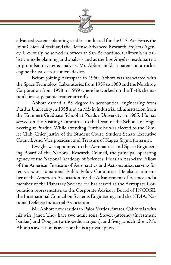

advanced systems planning studies conducted for the U.S. Air Force, the Joint Chiefs of Staff and the Defense Advanced Research Projects Agency. Previously he served in offices at San Bernardino, California in ballistic missile planning and analysis and at the Los Angeles headquarters in propulsion systems analysis. Mr. Abbott holds a patent on a rocket engine thrust vector control device.

 Before joining Aerospace in 1960, Abbott was associated with the Space Technology Laboratories from 1959 to 1960 and the Northrop Corporation from 1958 to 1959 where he worked on the T-38, the nation's first supersonic trainer aircraft.

 Abbott earned a BS degree in aeronautical engineering from Purdue University in 1958 and an MS in industrial administration from the Krannert Graduate School at Purdue University in 1965. He has served on the Visiting Committee to the Dean of the Schools of Engineering at Purdue. While attending Purdue he was elected to the Gimlet Club, Chief Justice of the Student Court, Student Senate Executive Council, And Vice president and Treasure of Kappa Sigma fraternity.

 Dwight was appointed to the Aeronautics and Space Engineering Board of the National Research Council, the principal operating agency of the National Academy of Sciences. He is an Associate Fellow of the American Institute of Aeronautics and Astronautics, serving for ten years on its national Public Policy Committee. He also is a member of the American Association for the Advancement of Science and a member of the Planetary Society. He has served as the Aerospace Corporation representative to the Corporate Advisory Board of INCOSE, the International Council on Systems Engineering, and the NDIA, National Defense Industrial Association.

 Mr. Abbott now resides in Palos Verdes Estates, California with his wife, Janet. They have two adult sons, Steven (attorney/investment banker) and Douglas (orthopedic surgeon), and five grandchildren. Mr. Abbott's avocation is aviation; he is a private pilot.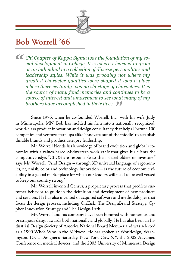

#### **Bob Worrell '66**

Chi Chapter of Kappa Sigma was the foundation of my so-<br>
cial development in College. It is where I learned to grow<br>
as an individual in a collection of diverse personalities and<br>
leadership stules. While it was probably n *cial development in College. It is where I learned to grow as an individual in a collection of diverse personalities and leadership styles. While it was probably not where my greatest character qualities were shaped it was a place where there certainly was no shortage of characters. It is the source of many fond memories and continues to be a source of interest and amazement to see what many of my brothers have accomplished in their lives.*"

 Since 1976, when he co-founded Worrell, Inc., with his wife, Judy, in Minneapolis, MN, Bob has molded his firm into a nationally recognized, world-class product innovation and design consultancy that helps Fortune 100 companies and venture start-ups alike "innovate out of the middle" to establish durable brands and product category leadership.

 Mr. Worrell blends his knowledge of brand evolution and global economics with a values-based Midwestern work ethic that gives his clients the competitive edge. "CEOS are responsible to their shareholders or investors," says Mr. Worrell. "And Design – through 3D universal language of ergonomics, fit, finish, color and technology innovation - is the future of economic viability in a global marketplace for which our leaders will need to be well versed to keep our country strong."

 Mr. Worrell invented Censys, a proprietary process that predicts customer behavior to guide in the definition and development of new products and services. He has also invented or acquired software and methodologies that focus the design process, including OnTask, The DesignBrand Strategy, Cypher Innovation Strategy and The Design-Path.

 Mr, Worrell and his company have been honored with numerous and prestigious design awards both nationally and globally. He has also been an Industrial Design Society of America National Board Member and was selected as a 1990 Who's Who in the Midwest. He has spoken at Worldesign, Washington, D.C., Designer's Saturday, New York City, NY, the 2002 Advamed Conference on medical devices, and the 2003 University of Minnesota Design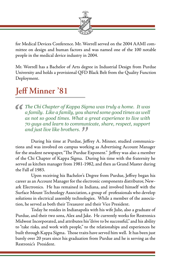

for Medical Devices Conference. Mr. Worrell served on the 2004 AAMI committee on design and human factors and was named one of the 100 notable people in the medical device industry in 2004.

Mr. Worrell has a Bachelor of Arts degree in Industrial Design from Purdue University and holds a provisional QFD Black Belt from the Quality Function Deployment.

### **Jeff Minner '81**

*C The Chi Chapter of Kappa Sigma was truly a home. It was a family. Like a family, you shared some good times as well as not so good times. What a great experience to live with 70 guys and learn to communicate, share, r a family. Like a family, you shared some good times as well as not so good times. What a great experience to live with 70 guys and learn to communicate, share, respect, support and just live like brothers.* 

During his time at Purdue, Jeffrey A. Minner, studied communications and was involved on campus working as Advertising Account Manager for the student newspaper, "The Purdue Exponent." Jeffrey was also a member of the Chi Chapter of Kappa Sigma. During his time with the fraternity he served as kitchen manager from 1981-1982, and then as Grand Master during the Fall of 1983. "<br>Jeff<br>"

Upon receiving his Bachelor's Degree from Purdue, Jeffrey began his career as an Account Manager for the electronic components distributor, Newark Electronics. He has remained in Indiana, and involved himself with the Surface Mount Technology Association, a group of professionals who develop solutions in electrical assembly technologies. While a member of the association, he served as both their Treasurer and their Vice President.

 Today he resides in Indianapolis with his wife Julie, also a graduate of Purdue, and their two sons, Alex and Jake. He currently works for Restronics Midwest Incorporated, and attributes his "drive to be successful," and his ability to "take risks, and work with people," to the relationships and experiences he built through Kappa Sigma. Those traits have served him well. It has been just barely over 20 years since his graduation from Purdue and he is serving as the Restronic's President.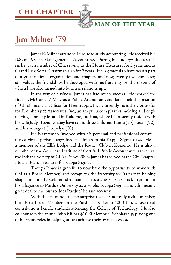#### **CHI CHAPTER**



 **MAN OF THE YEAR**

### **Jim Milner '79**

 James E. Milner attended Purdue to study accounting. He received his B.S. in 1981 in Management – Accounting. During his undergraduate studies he was a member of Chi, serving as the House Treasurer for 2 years and as Grand Prix Social Chairman also for 2 years. He is grateful to have been a part of a "great national organization and chapter," and now, twenty five years later, still values the friendships he developed with his fraternity brothers, some of which have also turned into business relationships.

 In the way of business, James has had much success. He worked for Bucher, McCarty & Metz as a Public Accountant, and later took the position of Chief Financial Officer for Fleet Supply, Inc. Currently, he is the Controller for Eikenberry & Associates, Inc., an adept custom plastics molding and engineering company located in Kokomo, Indiana, where he presently resides with his wife Judy. Together they have raised three children, Tamra (35), Justin (32), and his youngest, Jacquelyn (20).

 He is extremely involved with his personal and professional community, a virtue perhaps engrained in him from his Kappa Sigma days. He is a member of the Elk's Lodge and the Rotary Club in Kokomo. He is also a member of the American Institute of Certified Public Accountants, as well as, the Indiana Society of CPAs. Since 2003, James has served as the Chi Chapter House Board Treasurer for Kappa Sigma.

Though James is "grateful to now have the opportunity to work with Chi as a Board Member," and recognizes the fraternity for its part in helping shape him into the well rounded man he is today, he is just as quick to point out his allegiance to Purdue University as a whole. "Kappa Sigma and Chi mean a great deal to me, but so does Purdue," he said recently.

 With that in mind, it is no surprise that he's not only a club member, but also a Board Member for the Purdue – Kokomo 400 Club, whose total contributions benefit students attending the College of Technology. He also co-sponsors the annual John Milner \$1000 Memorial Scholarship, playing one of his many roles in helping others achieve their own successes.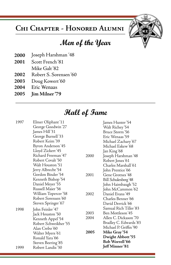#### **CHI CHAPTER - HONORED ALUMNI**

#### **Men of the Year**

- **2000** Joseph Harshman '48
- **2001** Scott French '81
- Mike Galt '82
- **2002** Robert S. Sorensen '60
- **2003** Doug Kowert '60
- **2004** Eric Wenaas
- **2005 Jim Milner '79**

#### **Hall of Fame**

| 1997 | Elmer Oliphant '11   |      | James Hunter '54       |
|------|----------------------|------|------------------------|
|      | George Goodwin'27    |      | Walt Richey'54         |
|      | James Hill'31        |      | Bruce Storm '56        |
|      | George Burnell'33    |      | Eric Wenaas '59        |
|      | Robert Keim '39      |      | Michael Zachary'67     |
|      | Byron Anderson'45    |      | Michael Eskew '68      |
|      | Lloyd Zickert'45     |      | Jan King'68            |
|      | Richard Freeman'47   | 2000 | Joseph Harshman '48    |
|      | Robert Covalt '50    |      | Robert Jones'61        |
|      | Walt Houston '51     |      | Charles Marshall'61    |
|      | Jerry Albrecht'54    |      | John Prentice'66       |
|      | Gordon Binder '54    | 2001 | Gene Grotnes'48        |
|      | Kenneth Bishop '54   |      | Bill Schulenberg'48    |
|      | Daniel Meyer '55     |      | John Haimbaugh'52      |
|      | Russell Maier '56    |      | John McCammon'62       |
|      | William Topercer'58  | 2002 | Daniel Evans'49        |
|      | Robert Sorensen'60   |      | Charles Benner'66      |
|      | Steven Springer '67  |      | David Derrick'66       |
| 1998 | John Feinler '47     |      | Samual Rich Tiller'83  |
|      | Jack Houston'50      | 2003 | Ben Mottleson 45       |
|      | Kenneth Appel'54     | 2004 | Allen C. Dickason '70  |
|      | Robert Schweikher'55 |      | Bradley C. Edwards '83 |
|      | Alan Crebo'60        |      | Michael P. Griffin '90 |
|      | Walter Myers '61     | 2005 | <b>Mike Gray'54</b>    |
|      | Ronald Yara '66      |      | Dwight Abbott'55       |
|      | Steven Beering'85    |      | Bob Worrell'66         |
| 1999 | Robert Landis '30    |      | Jeff Minner'81         |
|      |                      |      |                        |